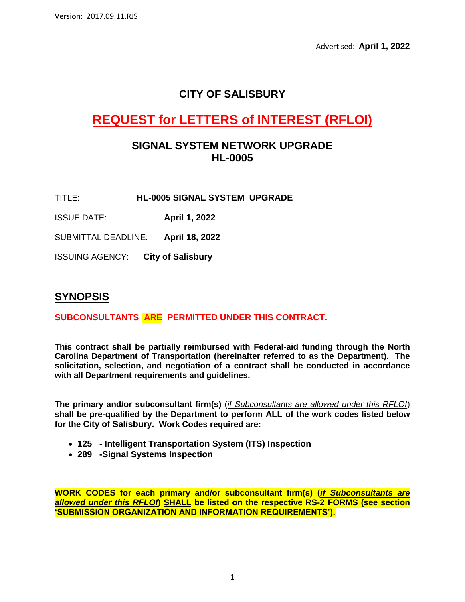Advertised: **April 1, 2022**

## **CITY OF SALISBURY**

# **REQUEST for LETTERS of INTEREST (RFLOI)**

### **SIGNAL SYSTEM NETWORK UPGRADE HL-0005**

- TITLE: **HL-0005 SIGNAL SYSTEM UPGRADE**
- ISSUE DATE: **April 1, 2022**

SUBMITTAL DEADLINE: **April 18, 2022**

ISSUING AGENCY: **City of Salisbury**

### **SYNOPSIS**

#### **SUBCONSULTANTS ARE PERMITTED UNDER THIS CONTRACT.**

**This contract shall be partially reimbursed with Federal-aid funding through the North Carolina Department of Transportation (hereinafter referred to as the Department). The solicitation, selection, and negotiation of a contract shall be conducted in accordance with all Department requirements and guidelines.**

**The primary and/or subconsultant firm(s)** (*if Subconsultants are allowed under this RFLOI*) **shall be pre-qualified by the Department to perform ALL of the work codes listed below for the City of Salisbury. Work Codes required are:**

- **125 - Intelligent Transportation System (ITS) Inspection**
- **289 -Signal Systems Inspection**

**WORK CODES for each primary and/or subconsultant firm(s) (***if Subconsultants are allowed under this RFLOI***) SHALL be listed on the respective RS-2 FORMS (see section 'SUBMISSION ORGANIZATION AND INFORMATION REQUIREMENTS').**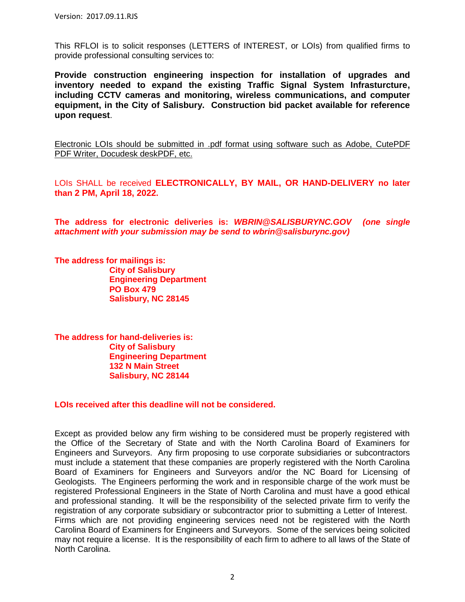This RFLOI is to solicit responses (LETTERS of INTEREST, or LOIs) from qualified firms to provide professional consulting services to:

**Provide construction engineering inspection for installation of upgrades and inventory needed to expand the existing Traffic Signal System Infrasturcture, including CCTV cameras and monitoring, wireless communications, and computer equipment, in the City of Salisbury. Construction bid packet available for reference upon request**.

Electronic LOIs should be submitted in .pdf format using software such as Adobe, CutePDF PDF Writer, Docudesk deskPDF, etc.

LOIs SHALL be received **ELECTRONICALLY, BY MAIL, OR HAND-DELIVERY no later than 2 PM, April 18, 2022.**

**The address for electronic deliveries is:** *WBRIN@SALISBURYNC.GOV (one single attachment with your submission may be send to wbrin@salisburync.gov)*

**The address for mailings is: City of Salisbury Engineering Department PO Box 479 Salisbury, NC 28145**

**The address for hand-deliveries is: City of Salisbury Engineering Department 132 N Main Street Salisbury, NC 28144**

**LOIs received after this deadline will not be considered.**

Except as provided below any firm wishing to be considered must be properly registered with the Office of the Secretary of State and with the North Carolina Board of Examiners for Engineers and Surveyors. Any firm proposing to use corporate subsidiaries or subcontractors must include a statement that these companies are properly registered with the North Carolina Board of Examiners for Engineers and Surveyors and/or the NC Board for Licensing of Geologists. The Engineers performing the work and in responsible charge of the work must be registered Professional Engineers in the State of North Carolina and must have a good ethical and professional standing. It will be the responsibility of the selected private firm to verify the registration of any corporate subsidiary or subcontractor prior to submitting a Letter of Interest. Firms which are not providing engineering services need not be registered with the North Carolina Board of Examiners for Engineers and Surveyors. Some of the services being solicited may not require a license. It is the responsibility of each firm to adhere to all laws of the State of North Carolina.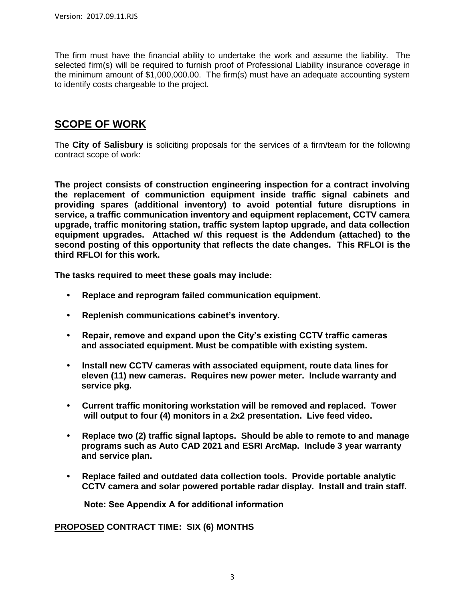The firm must have the financial ability to undertake the work and assume the liability. The selected firm(s) will be required to furnish proof of Professional Liability insurance coverage in the minimum amount of \$1,000,000.00. The firm(s) must have an adequate accounting system to identify costs chargeable to the project.

### **SCOPE OF WORK**

The **City of Salisbury** is soliciting proposals for the services of a firm/team for the following contract scope of work:

**The project consists of construction engineering inspection for a contract involving the replacement of communiction equipment inside traffic signal cabinets and providing spares (additional inventory) to avoid potential future disruptions in service, a traffic communication inventory and equipment replacement, CCTV camera upgrade, traffic monitoring station, traffic system laptop upgrade, and data collection equipment upgrades. Attached w/ this request is the Addendum (attached) to the second posting of this opportunity that reflects the date changes. This RFLOI is the third RFLOI for this work.** 

**The tasks required to meet these goals may include:**

- **• Replace and reprogram failed communication equipment.**
- **• Replenish communications cabinet's inventory.**
- **• Repair, remove and expand upon the City's existing CCTV traffic cameras and associated equipment. Must be compatible with existing system.**
- **• Install new CCTV cameras with associated equipment, route data lines for eleven (11) new cameras. Requires new power meter. Include warranty and service pkg.**
- **• Current traffic monitoring workstation will be removed and replaced. Tower will output to four (4) monitors in a 2x2 presentation. Live feed video.**
- **• Replace two (2) traffic signal laptops. Should be able to remote to and manage programs such as Auto CAD 2021 and ESRI ArcMap. Include 3 year warranty and service plan.**
- **• Replace failed and outdated data collection tools. Provide portable analytic CCTV camera and solar powered portable radar display. Install and train staff.**

**Note: See Appendix A for additional information**

**PROPOSED CONTRACT TIME: SIX (6) MONTHS**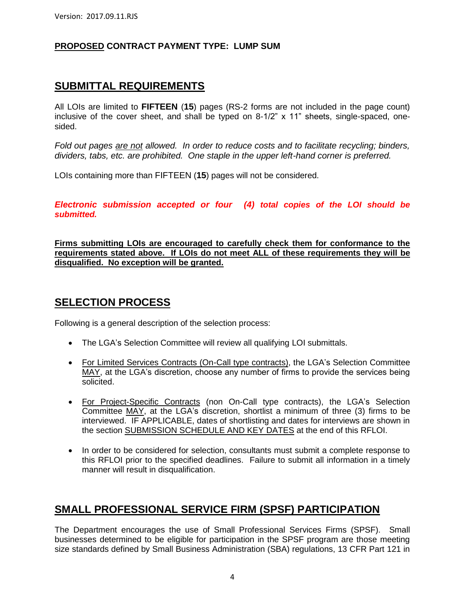#### **PROPOSED CONTRACT PAYMENT TYPE: LUMP SUM**

### **SUBMITTAL REQUIREMENTS**

All LOIs are limited to **FIFTEEN** (**15**) pages (RS-2 forms are not included in the page count) inclusive of the cover sheet, and shall be typed on 8-1/2" x 11" sheets, single-spaced, onesided.

*Fold out pages are not allowed. In order to reduce costs and to facilitate recycling; binders, dividers, tabs, etc. are prohibited. One staple in the upper left-hand corner is preferred.*

LOIs containing more than FIFTEEN (**15**) pages will not be considered.

*Electronic submission accepted or four (4) total copies of the LOI should be submitted.*

**Firms submitting LOIs are encouraged to carefully check them for conformance to the requirements stated above. If LOIs do not meet ALL of these requirements they will be disqualified. No exception will be granted.**

### **SELECTION PROCESS**

Following is a general description of the selection process:

- The LGA's Selection Committee will review all qualifying LOI submittals.
- For Limited Services Contracts (On-Call type contracts), the LGA's Selection Committee MAY, at the LGA's discretion, choose any number of firms to provide the services being solicited.
- For Project-Specific Contracts (non On-Call type contracts), the LGA's Selection Committee MAY, at the LGA's discretion, shortlist a minimum of three (3) firms to be interviewed. IF APPLICABLE, dates of shortlisting and dates for interviews are shown in the section SUBMISSION SCHEDULE AND KEY DATES at the end of this RFLOI.
- In order to be considered for selection, consultants must submit a complete response to this RFLOI prior to the specified deadlines. Failure to submit all information in a timely manner will result in disqualification.

### **SMALL PROFESSIONAL SERVICE FIRM (SPSF) PARTICIPATION**

The Department encourages the use of Small Professional Services Firms (SPSF). Small businesses determined to be eligible for participation in the SPSF program are those meeting size standards defined by Small Business Administration (SBA) regulations, 13 CFR Part 121 in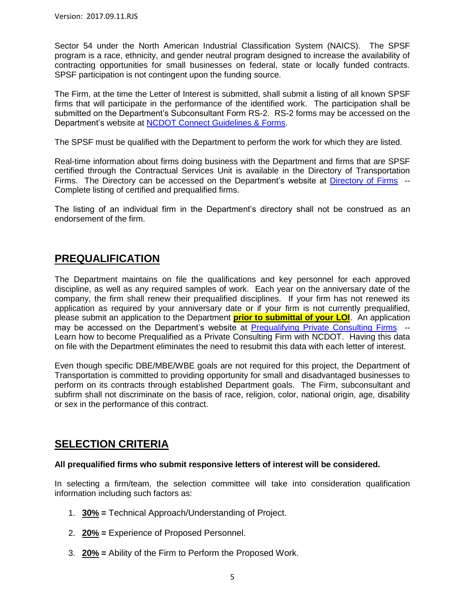Sector 54 under the North American Industrial Classification System (NAICS). The SPSF program is a race, ethnicity, and gender neutral program designed to increase the availability of contracting opportunities for small businesses on federal, state or locally funded contracts. SPSF participation is not contingent upon the funding source.

The Firm, at the time the Letter of Interest is submitted, shall submit a listing of all known SPSF firms that will participate in the performance of the identified work. The participation shall be submitted on the Department's Subconsultant Form RS-2. RS-2 forms may be accessed on the Department's website at [NCDOT Connect Guidelines & Forms.](https://connect.ncdot.gov/business/consultants/Pages/Guidelines-Forms.aspx)

The SPSF must be qualified with the Department to perform the work for which they are listed.

Real-time information about firms doing business with the Department and firms that are SPSF certified through the Contractual Services Unit is available in the Directory of Transportation Firms. The Directory can be accessed on the Department's website at [Directory of Firms](https://www.ebs.nc.gov/VendorDirectory/default.html) -- Complete listing of certified and prequalified firms.

The listing of an individual firm in the Department's directory shall not be construed as an endorsement of the firm.

### **PREQUALIFICATION**

The Department maintains on file the qualifications and key personnel for each approved discipline, as well as any required samples of work. Each year on the anniversary date of the company, the firm shall renew their prequalified disciplines. If your firm has not renewed its application as required by your anniversary date or if your firm is not currently prequalified, please submit an application to the Department **prior to submittal of your LOI**. An application may be accessed on the Department's website at [Prequalifying Private Consulting Firms](https://connect.ncdot.gov/business/Prequal/Pages/Private-Consulting-Firm.aspx) -- Learn how to become Prequalified as a Private Consulting Firm with NCDOT. Having this data on file with the Department eliminates the need to resubmit this data with each letter of interest.

Even though specific DBE/MBE/WBE goals are not required for this project, the Department of Transportation is committed to providing opportunity for small and disadvantaged businesses to perform on its contracts through established Department goals. The Firm, subconsultant and subfirm shall not discriminate on the basis of race, religion, color, national origin, age, disability or sex in the performance of this contract.

### **SELECTION CRITERIA**

#### **All prequalified firms who submit responsive letters of interest will be considered.**

In selecting a firm/team, the selection committee will take into consideration qualification information including such factors as:

- 1. **30% =** Technical Approach/Understanding of Project.
- 2. **20% =** Experience of Proposed Personnel.
- 3. **20% =** Ability of the Firm to Perform the Proposed Work.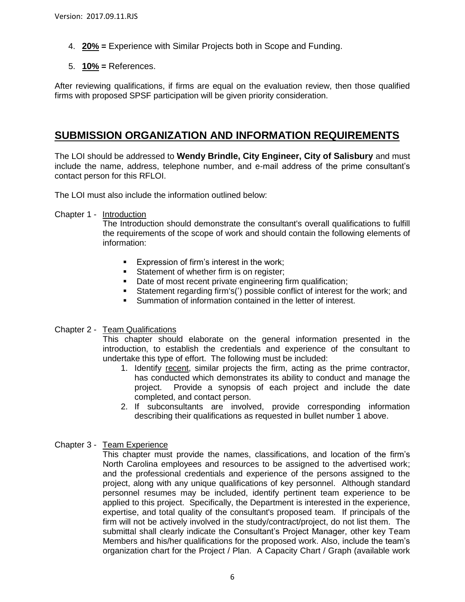- 4. **20% =** Experience with Similar Projects both in Scope and Funding.
- 5. **10% =** References.

After reviewing qualifications, if firms are equal on the evaluation review, then those qualified firms with proposed SPSF participation will be given priority consideration.

### **SUBMISSION ORGANIZATION AND INFORMATION REQUIREMENTS**

The LOI should be addressed to **Wendy Brindle, City Engineer, City of Salisbury** and must include the name, address, telephone number, and e-mail address of the prime consultant's contact person for this RFLOI.

The LOI must also include the information outlined below:

Chapter 1 - Introduction

The Introduction should demonstrate the consultant's overall qualifications to fulfill the requirements of the scope of work and should contain the following elements of information:

- **Expression of firm's interest in the work;**
- Statement of whether firm is on register;
- Date of most recent private engineering firm qualification;
- Statement regarding firm's(') possible conflict of interest for the work; and
- Summation of information contained in the letter of interest.

#### Chapter 2 - Team Qualifications

This chapter should elaborate on the general information presented in the introduction, to establish the credentials and experience of the consultant to undertake this type of effort. The following must be included:

- 1. Identify recent, similar projects the firm, acting as the prime contractor, has conducted which demonstrates its ability to conduct and manage the project. Provide a synopsis of each project and include the date completed, and contact person.
- 2. If subconsultants are involved, provide corresponding information describing their qualifications as requested in bullet number 1 above.

#### Chapter 3 - Team Experience

This chapter must provide the names, classifications, and location of the firm's North Carolina employees and resources to be assigned to the advertised work; and the professional credentials and experience of the persons assigned to the project, along with any unique qualifications of key personnel. Although standard personnel resumes may be included, identify pertinent team experience to be applied to this project. Specifically, the Department is interested in the experience, expertise, and total quality of the consultant's proposed team. If principals of the firm will not be actively involved in the study/contract/project, do not list them. The submittal shall clearly indicate the Consultant's Project Manager, other key Team Members and his/her qualifications for the proposed work. Also, include the team's organization chart for the Project / Plan. A Capacity Chart / Graph (available work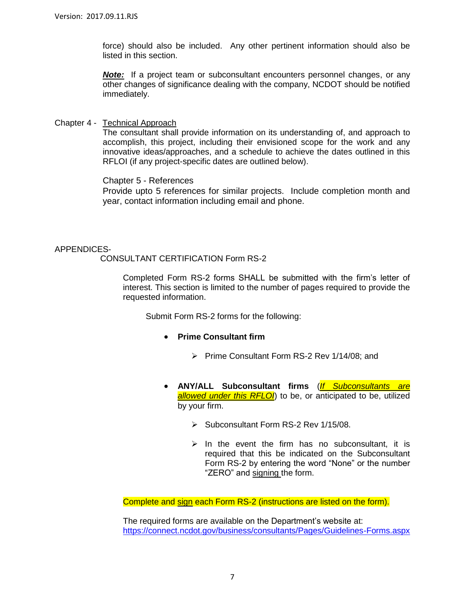force) should also be included. Any other pertinent information should also be listed in this section.

*Note:* If a project team or subconsultant encounters personnel changes, or any other changes of significance dealing with the company, NCDOT should be notified immediately.

Chapter 4 - Technical Approach

The consultant shall provide information on its understanding of, and approach to accomplish, this project, including their envisioned scope for the work and any innovative ideas/approaches, and a schedule to achieve the dates outlined in this RFLOI (if any project-specific dates are outlined below).

Chapter 5 - References

Provide upto 5 references for similar projects. Include completion month and year, contact information including email and phone.

#### APPENDICES-

#### CONSULTANT CERTIFICATION Form RS-2

Completed Form RS-2 forms SHALL be submitted with the firm's letter of interest. This section is limited to the number of pages required to provide the requested information.

Submit Form RS-2 forms for the following:

- **Prime Consultant firm**
	- Prime Consultant Form RS-2 Rev 1/14/08; and
- **ANY/ALL Subconsultant firms** (*If Subconsultants are allowed under this RFLOI*) to be, or anticipated to be, utilized by your firm.
	- Subconsultant Form RS-2 Rev 1/15/08.
	- $\triangleright$  In the event the firm has no subconsultant, it is required that this be indicated on the Subconsultant Form RS-2 by entering the word "None" or the number "ZERO" and signing the form.

Complete and sign each Form RS-2 (instructions are listed on the form).

The required forms are available on the Department's website at: <https://connect.ncdot.gov/business/consultants/Pages/Guidelines-Forms.aspx>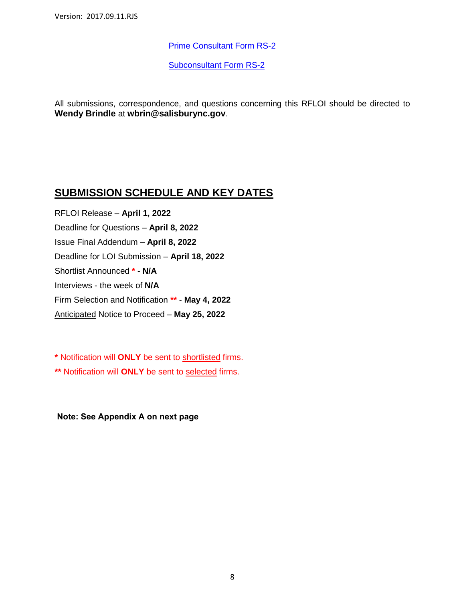[Prime Consultant Form RS-2](https://connect.ncdot.gov/business/consultants/Roadway/Form%20RS-2%20Prime%20Contractor.pdf)

[Subconsultant Form RS-2](https://connect.ncdot.gov/business/consultants/Roadway/Form%20RS-2%20Subcontract.pdf)

All submissions, correspondence, and questions concerning this RFLOI should be directed to **Wendy Brindle** at **wbrin@salisburync.gov**.

### **SUBMISSION SCHEDULE AND KEY DATES**

RFLOI Release – **April 1, 2022** Deadline for Questions – **April 8, 2022** Issue Final Addendum – **April 8, 2022** Deadline for LOI Submission – **April 18, 2022** Shortlist Announced **\*** - **N/A** Interviews - the week of **N/A** Firm Selection and Notification **\*\*** - **May 4, 2022** Anticipated Notice to Proceed – **May 25, 2022**

**\*** Notification will **ONLY** be sent to shortlisted firms.

**\*\*** Notification will **ONLY** be sent to selected firms.

**Note: See Appendix A on next page**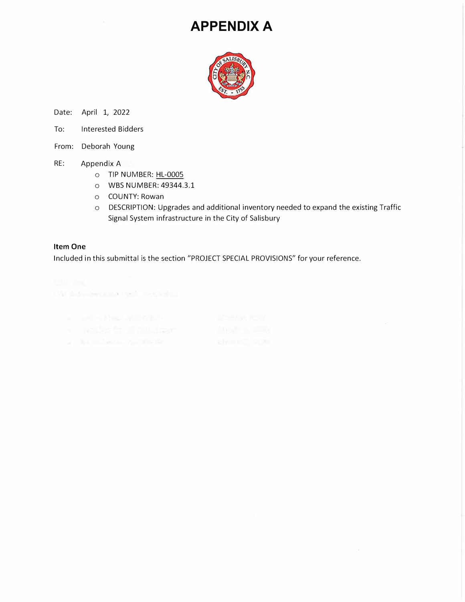# **APPENDIX A**



Date: April 1, 2022

- To: Interested Bidders
- From: Deborah Young
- RE: Appendix A
	- o TIP NUMBER: HL-0005
	- o WBS NUMBER: 49344.3.1
	- o COUNTY: Rowan
	- o DESCRIPTION: Upgrades and additional inventory needed to expand the existing Traffic Signal System infrastructure in the City of Salisbury

#### **Item One**

Included in this submittal is the section "PROJECT SPECIAL PROVISIONS" for your reference.

040 his decado qui vertain.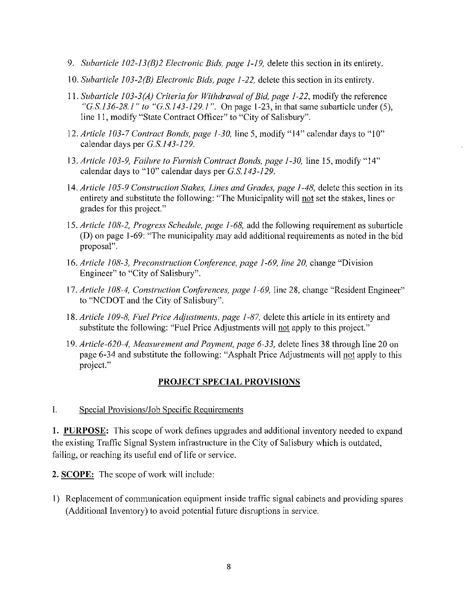- 9. Subarticle  $102-13(B)2$  Electronic Bids, page 1-19, delete this section in its entirety.
- 10. Subarticle 103-2(B) Electronic Bids, page 1-22, delete this section in its entirety.
- 11. Subarticle 103-3(A) Criteria for Withdrawal of Bid, page 1-22, modify the reference "G.S.136-28.1" to "G.S.143-129.1". On page 1-23, in that same subarticle under (5), line 11, modify "State Contract Officer" to "City of Salisbury".
- 12. Article 103-7 Contract Bonds, page 1-30, line 5, modify "14" calendar days to "10" calendar days per G.S.143-129.
- 13. Article 103-9, Failure to Furnish Contract Bonds, page 1-30, line 15, modify "14" calendar days to "10" calendar days per G.S.143-129.
- 14. Article 105-9 Construction Stakes, Lines and Grades, page 1-48, delete this section in its entirety and substitute the following: "The Municipality will not set the stakes, lines or grades for this project."
- 15. Article 108-2, Progress Schedule, page 1-68, add the following requirement as subarticle (D) on page 1-69: "The municipality may add additional requirements as noted in the bid proposal".
- 16. Article 108-3, Preconstruction Conference, page 1-69, line 20, change "Division" Engineer" to "City of Salisbury".
- 17. Article 108-4, Construction Conferences, page 1-69, line 28, change "Resident Engineer" to "NCDOT and the City of Salisbury".
- 18. Article 109-8, Fuel Price Adjustments, page 1-87, delete this article in its entirety and substitute the following: "Fuel Price Adjustments will not apply to this project."
- 19. Article-620-4, Measurement and Payment, page 6-33, delete lines 38 through line 20 on page 6-34 and substitute the following: "Asphalt Price Adjustments will not apply to this project."

#### **PROJECT SPECIAL PROVISIONS**

#### $\mathbf{I}$ . Special Provisions/Job Specific Requirements

1. PURPOSE: This scope of work defines upgrades and additional inventory needed to expand the existing Traffic Signal System infrastructure in the City of Salisbury which is outdated, failing, or reaching its useful end of life or service.

2. SCOPE: The scope of work will include:

1) Replacement of communication equipment inside traffic signal cabinets and providing spares (Additional Inventory) to avoid potential future disruptions in service.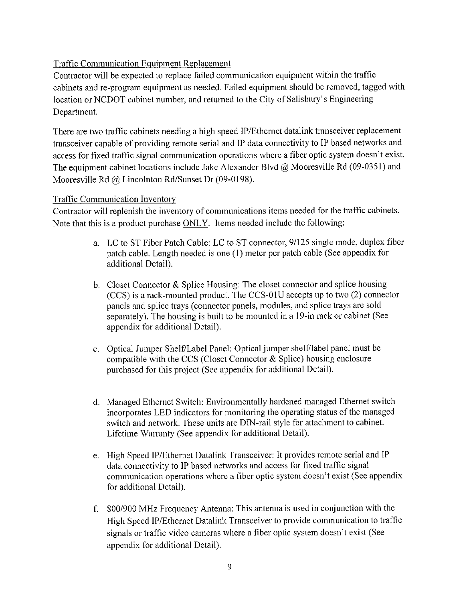### **Traffic Communication Equipment Replacement**

Contractor will be expected to replace failed communication equipment within the traffic cabinets and re-program equipment as needed. Failed equipment should be removed, tagged with location or NCDOT cabinet number, and returned to the City of Salisbury's Engineering Department.

There are two traffic cabinets needing a high speed IP/Ethernet datalink transceiver replacement transceiver capable of providing remote serial and IP data connectivity to IP based networks and access for fixed traffic signal communication operations where a fiber optic system doesn't exist. The equipment cabinet locations include Jake Alexander Blvd  $@$  Mooresville Rd (09-0351) and Mooresville Rd  $\omega$  Lincolnton Rd/Sunset Dr (09-0198).

#### **Traffic Communication Inventory**

Contractor will replenish the inventory of communications items needed for the traffic cabinets. Note that this is a product purchase ONLY. Items needed include the following:

- a. LC to ST Fiber Patch Cable: LC to ST connector, 9/125 single mode, duplex fiber patch cable. Length needed is one (1) meter per patch cable (See appendix for additional Detail).
- b. Closet Connector & Splice Housing: The closet connector and splice housing (CCS) is a rack-mounted product. The CCS-01U accepts up to two (2) connector panels and splice trays (connector panels, modules, and splice trays are sold separately). The housing is built to be mounted in a 19-in rack or cabinet (See appendix for additional Detail).
- c. Optical Jumper Shelf/Label Panel: Optical jumper shelf/label panel must be compatible with the CCS (Closet Connector & Splice) housing enclosure purchased for this project (See appendix for additional Detail).
- d. Managed Ethernet Switch: Environmentally hardened managed Ethernet switch incorporates LED indicators for monitoring the operating status of the managed switch and network. These units are DIN-rail style for attachment to cabinet. Lifetime Warranty (See appendix for additional Detail).
- e. High Speed IP/Ethernet Datalink Transceiver: It provides remote serial and IP data connectivity to IP based networks and access for fixed traffic signal communication operations where a fiber optic system doesn't exist (See appendix for additional Detail).
- f. 800/900 MHz Frequency Antenna: This antenna is used in conjunction with the High Speed IP/Ethernet Datalink Transceiver to provide communication to traffic signals or traffic video cameras where a fiber optic system doesn't exist (See appendix for additional Detail).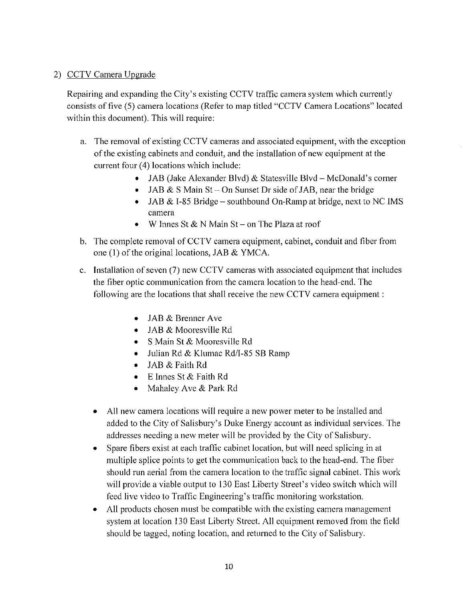#### 2) CCTV Camera Upgrade

Repairing and expanding the City's existing CCTV traffic camera system which currently consists of five (5) camera locations (Refer to map titled "CCTV Camera Locations" located within this document). This will require:

- a. The removal of existing CCTV cameras and associated equipment, with the exception of the existing cabinets and conduit, and the installation of new equipment at the current four (4) locations which include:
	- JAB (Jake Alexander Blvd) & Statesville Blvd McDonald's corner
	- JAB & S Main St On Sunset Dr side of JAB, near the bridge
	- JAB & I-85 Bridge southbound On-Ramp at bridge, next to NC IMS camera
	- W Innes St & N Main St on The Plaza at roof
- b. The complete removal of CCTV camera equipment, cabinet, conduit and fiber from one (1) of the original locations, JAB & YMCA.
- c. Installation of seven (7) new CCTV cameras with associated equipment that includes the fiber optic communication from the camera location to the head-end. The following are the locations that shall receive the new CCTV camera equipment :
	- JAB & Brenner Ave
	- $\bullet$  JAB & Mooresville Rd
	- S Main St & Mooresville Rd
	- Julian Rd & Klumac Rd/I-85 SB Ramp
	- JAB & Faith Rd  $\bullet$
	- E Innes St & Faith Rd
	- Mahaley Ave & Park Rd
	- All new camera locations will require a new power meter to be installed and added to the City of Salisbury's Duke Energy account as individual services. The addresses needing a new meter will be provided by the City of Salisbury.
	- Spare fibers exist at each traffic cabinet location, but will need splicing in at multiple splice points to get the communication back to the head-end. The fiber should run aerial from the camera location to the traffic signal cabinet. This work will provide a viable output to 130 East Liberty Street's video switch which will feed live video to Traffic Engineering's traffic monitoring workstation.
	- All products chosen must be compatible with the existing camera management system at location 130 East Liberty Street. All equipment removed from the field should be tagged, noting location, and returned to the City of Salisbury.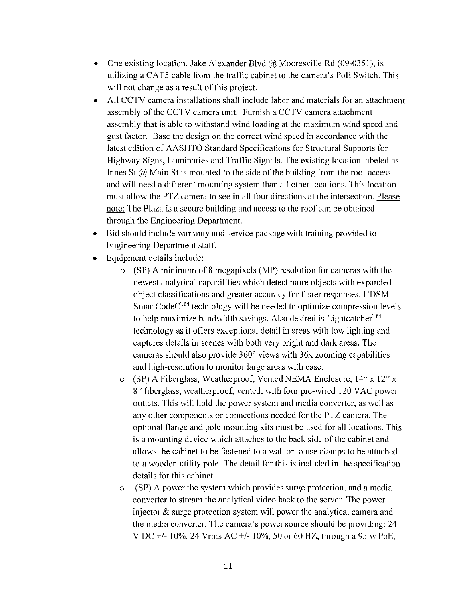- One existing location, Jake Alexander Blvd  $\omega$  Mooresville Rd (09-0351), is utilizing a CAT5 cable from the traffic cabinet to the camera's PoE Switch. This will not change as a result of this project.
- All CCTV camera installations shall include labor and materials for an attachment assembly of the CCTV camera unit. Furnish a CCTV camera attachment assembly that is able to withstand wind loading at the maximum wind speed and gust factor. Base the design on the correct wind speed in accordance with the latest edition of AASHTO Standard Specifications for Structural Supports for Highway Signs, Luminaries and Traffic Signals. The existing location labeled as Innes St  $(a)$  Main St is mounted to the side of the building from the roof access and will need a different mounting system than all other locations. This location must allow the PTZ camera to see in all four directions at the intersection. Please note: The Plaza is a secure building and access to the roof can be obtained through the Engineering Department.
- Bid should include warranty and service package with training provided to Engineering Department staff.
- Equipment details include:
	- $\circ$  (SP) A minimum of 8 megapixels (MP) resolution for cameras with the newest analytical capabilities which detect more objects with expanded object classifications and greater accuracy for faster responses. HDSM  $SmartCode<sup>TM</sup>$  technology will be needed to optimize compression levels to help maximize bandwidth savings. Also desired is Lightcatcher<sup>TM</sup> technology as it offers exceptional detail in areas with low lighting and captures details in scenes with both very bright and dark areas. The cameras should also provide  $360^{\circ}$  views with  $36x$  zooming capabilities and high-resolution to monitor large areas with ease.
	- o (SP) A Fiberglass, Weatherproof, Vented NEMA Enclosure,  $14$ " x  $12$ " x 8" fiberglass, weatherproof, vented, with four pre-wired 120 VAC power outlets. This will hold the power system and media converter, as well as any other components or connections needed for the PTZ camera. The optional flange and pole mounting kits must be used for all locations. This is a mounting device which attaches to the back side of the cabinet and allows the cabinet to be fastened to a wall or to use clamps to be attached to a wooden utility pole. The detail for this is included in the specification details for this cabinet.
	- (SP) A power the system which provides surge protection, and a media  $\circ$ converter to stream the analytical video back to the server. The power injector  $\&$  surge protection system will power the analytical camera and the media converter. The camera's power source should be providing: 24 V DC +/- 10%, 24 Vrms AC +/- 10%, 50 or 60 HZ, through a 95 w PoE,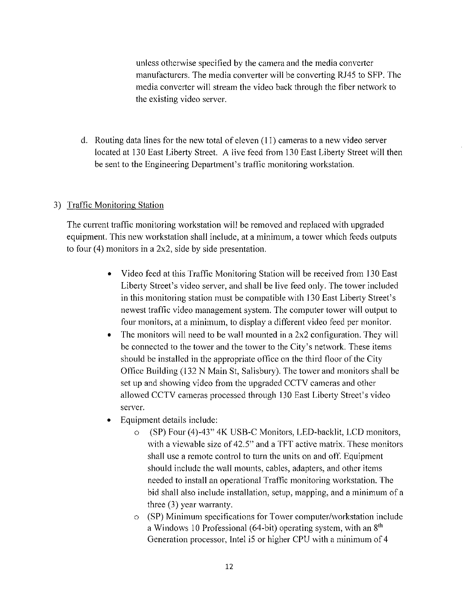unless otherwise specified by the camera and the media converter manufacturers. The media converter will be converting RJ45 to SFP. The media converter will stream the video back through the fiber network to the existing video server.

d. Routing data lines for the new total of eleven  $(11)$  cameras to a new video server located at 130 East Liberty Street. A live feed from 130 East Liberty Street will then be sent to the Engineering Department's traffic monitoring workstation.

#### 3) Traffic Monitoring Station

The current traffic monitoring workstation will be removed and replaced with upgraded equipment. This new workstation shall include, at a minimum, a tower which feeds outputs to four  $(4)$  monitors in a 2x2, side by side presentation.

- Video feed at this Traffic Monitoring Station will be received from 130 East  $\bullet$ Liberty Street's video server, and shall be live feed only. The tower included in this monitoring station must be compatible with 130 East Liberty Street's newest traffic video management system. The computer tower will output to four monitors, at a minimum, to display a different video feed per monitor.
- The monitors will need to be wall mounted in a  $2x2$  configuration. They will  $\bullet$ be connected to the tower and the tower to the City's network. These items should be installed in the appropriate office on the third floor of the City Office Building (132 N Main St, Salisbury). The tower and monitors shall be set up and showing video from the upgraded CCTV cameras and other allowed CCTV cameras processed through 130 East Liberty Street's video server.
- Equipment details include:  $\bullet$ 
	- $\circ$ (SP) Four (4)-43" 4K USB-C Monitors, LED-backlit, LCD monitors, with a viewable size of 42.5" and a TFT active matrix. These monitors shall use a remote control to turn the units on and off. Equipment should include the wall mounts, cables, adapters, and other items needed to install an operational Traffic monitoring workstation. The bid shall also include installation, setup, mapping, and a minimum of a three  $(3)$  year warranty.
	- o (SP) Minimum specifications for Tower computer/workstation include a Windows 10 Professional (64-bit) operating system, with an 8<sup>th</sup> Generation processor, Intel i5 or higher CPU with a minimum of 4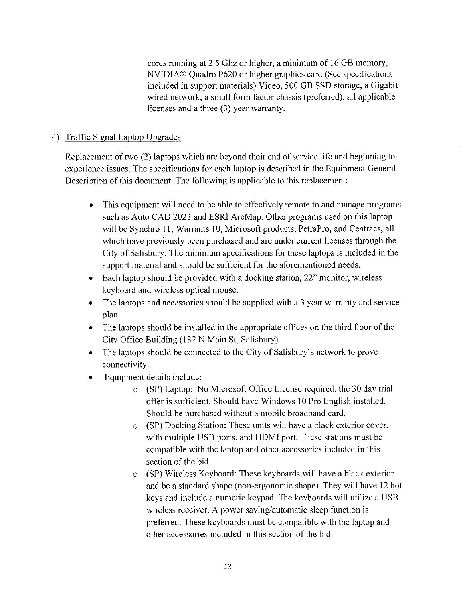cores running at 2.5 Ghz or higher, a minimum of 16 GB memory, NVIDIA® Quadro P620 or higher graphics card (See specifications included in support materials) Video, 500 GB SSD storage, a Gigabit wired network, a small form factor chassis (preferred), all applicable licenses and a three (3) year warranty.

### 4) Traffic Signal Laptop Upgrades

Replacement of two (2) laptops which are beyond their end of service life and beginning to experience issues. The specifications for each laptop is described in the Equipment General Description of this document. The following is applicable to this replacement:

- This equipment will need to be able to effectively remote to and manage programs  $\bullet$ such as Auto CAD 2021 and ESRI ArcMap. Other programs used on this laptop will be Synchro 11, Warrants 10, Microsoft products, PetraPro, and Centracs, all which have previously been purchased and are under current licenses through the City of Salisbury. The minimum specifications for these laptops is included in the support material and should be sufficient for the aforementioned needs.
- Each laptop should be provided with a docking station, 22" monitor, wireless keyboard and wireless optical mouse.
- The laptops and accessories should be supplied with a 3 year warranty and service plan.
- The laptops should be installed in the appropriate offices on the third floor of the City Office Building (132 N Main St, Salisbury).
- The laptops should be connected to the City of Salisbury's network to prove connectivity.
- Equipment details include:  $\bullet$ 
	- $\circ$  (SP) Laptop: No Microsoft Office License required, the 30 day trial offer is sufficient. Should have Windows 10 Pro English installed. Should be purchased without a mobile broadband card.
	- o (SP) Docking Station: These units will have a black exterior cover, with multiple USB ports, and HDMI port. These stations must be compatible with the laptop and other accessories included in this section of the bid.
	- o (SP) Wireless Keyboard: These keyboards will have a black exterior and be a standard shape (non-ergonomic shape). They will have 12 hot keys and include a numeric keypad. The keyboards will utilize a USB wireless receiver. A power saving/automatic sleep function is preferred. These keyboards must be compatible with the laptop and other accessories included in this section of the bid.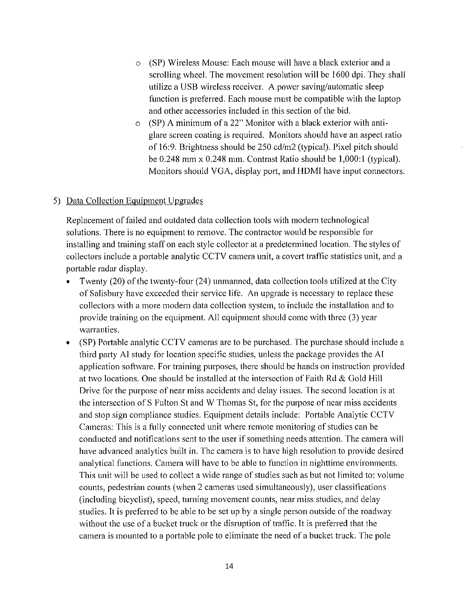- (SP) Wireless Mouse: Each mouse will have a black exterior and a  $\circ$ scrolling wheel. The movement resolution will be 1600 dpi. They shall utilize a USB wireless receiver. A power saving/automatic sleep function is preferred. Each mouse must be compatible with the laptop and other accessories included in this section of the bid.
- $\circ$  (SP) A minimum of a 22" Monitor with a black exterior with antiglare screen coating is required. Monitors should have an aspect ratio of 16:9. Brightness should be 250 cd/m2 (typical). Pixel pitch should be  $0.248$  mm x  $0.248$  mm. Contrast Ratio should be  $1,000:1$  (typical). Monitors should VGA, display port, and HDMI have input connectors.

#### 5) Data Collection Equipment Upgrades

Replacement of failed and outdated data collection tools with modern technological solutions. There is no equipment to remove. The contractor would be responsible for installing and training staff on each style collector at a predetermined location. The styles of collectors include a portable analytic CCTV camera unit, a covert traffic statistics unit, and a portable radar display.

- Twenty (20) of the twenty-four (24) unmanned, data collection tools utilized at the City of Salisbury have exceeded their service life. An upgrade is necessary to replace these collectors with a more modern data collection system, to include the installation and to provide training on the equipment. All equipment should come with three (3) year warranties.
- (SP) Portable analytic CCTV cameras are to be purchased. The purchase should include a  $\bullet$ third party AI study for location specific studies, unless the package provides the AI application software. For training purposes, there should be hands on instruction provided at two locations. One should be installed at the intersection of Faith Rd & Gold Hill Drive for the purpose of near miss accidents and delay issues. The second location is at the intersection of S Fulton St and W Thomas St, for the purpose of near miss accidents and stop sign compliance studies. Equipment details include: Portable Analytic CCTV Cameras: This is a fully connected unit where remote monitoring of studies can be conducted and notifications sent to the user if something needs attention. The camera will have advanced analytics built in. The camera is to have high resolution to provide desired analytical functions. Camera will have to be able to function in nighttime environments. This unit will be used to collect a wide range of studies such as but not limited to: volume counts, pedestrian counts (when 2 cameras used simultaneously), user classifications (including bicyclist), speed, turning movement counts, near miss studies, and delay studies. It is preferred to be able to be set up by a single person outside of the roadway without the use of a bucket truck or the disruption of traffic. It is preferred that the camera is mounted to a portable pole to eliminate the need of a bucket truck. The pole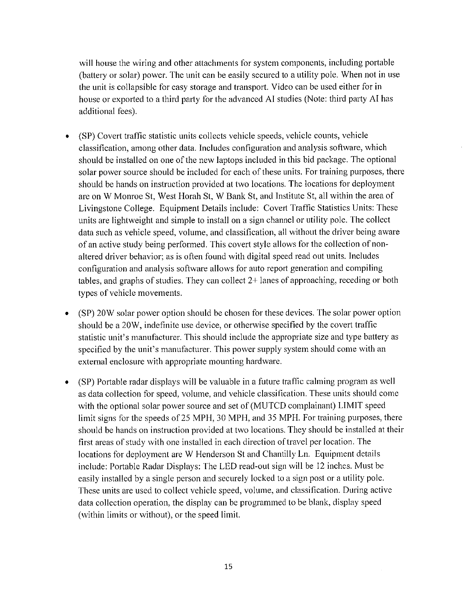will house the wiring and other attachments for system components, including portable (battery or solar) power. The unit can be easily secured to a utility pole. When not in use the unit is collapsible for easy storage and transport. Video can be used either for in house or exported to a third party for the advanced AI studies (Note: third party AI has additional fees).

- (SP) Covert traffic statistic units collects vehicle speeds, vehicle counts, vehicle  $\bullet$ classification, among other data. Includes configuration and analysis software, which should be installed on one of the new laptops included in this bid package. The optional solar power source should be included for each of these units. For training purposes, there should be hands on instruction provided at two locations. The locations for deployment are on W Monroe St, West Horah St, W Bank St, and Institute St, all within the area of Livingstone College. Equipment Details include: Covert Traffic Statistics Units: These units are lightweight and simple to install on a sign channel or utility pole. The collect data such as vehicle speed, volume, and classification, all without the driver being aware of an active study being performed. This covert style allows for the collection of nonaltered driver behavior; as is often found with digital speed read out units. Includes configuration and analysis software allows for auto report generation and compiling tables, and graphs of studies. They can collect  $2+$  lanes of approaching, receding or both types of vehicle movements.
- (SP) 20W solar power option should be chosen for these devices. The solar power option  $\bullet$ should be a 20W, indefinite use device, or otherwise specified by the covert traffic statistic unit's manufacturer. This should include the appropriate size and type battery as specified by the unit's manufacturer. This power supply system should come with an external enclosure with appropriate mounting hardware.
- (SP) Portable radar displays will be valuable in a future traffic calming program as well  $\bullet$ as data collection for speed, volume, and vehicle classification. These units should come with the optional solar power source and set of (MUTCD complainant) LIMIT speed limit signs for the speeds of 25 MPH, 30 MPH, and 35 MPH. For training purposes, there should be hands on instruction provided at two locations. They should be installed at their first areas of study with one installed in each direction of travel per location. The locations for deployment are W Henderson St and Chantilly Ln. Equipment details include: Portable Radar Displays: The LED read-out sign will be 12 inches. Must be easily installed by a single person and securely locked to a sign post or a utility pole. These units are used to collect vehicle speed, volume, and classification. During active data collection operation, the display can be programmed to be blank, display speed (within limits or without), or the speed limit.